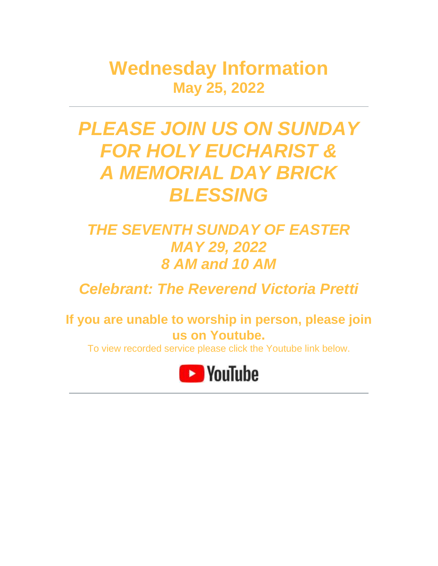**Wednesday Information May 25, 2022**

# *PLEASE JOIN US ON SUNDAY FOR HOLY EUCHARIST & A MEMORIAL DAY BRICK BLESSING*

## *THE SEVENTH SUNDAY OF EASTER MAY 29, 2022 8 AM and 10 AM*

*Celebrant: The Reverend Victoria Pretti*

**If you are unable to worship in person, please join us on Youtube.**

To view recorded service please click the Youtube link below.

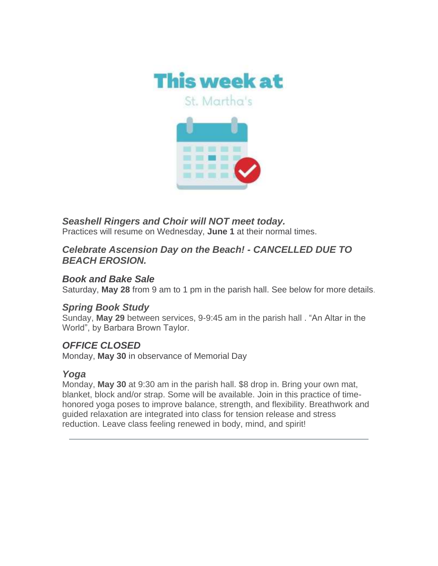

*Seashell Ringers and Choir will NOT meet today.* Practices will resume on Wednesday, **June 1** at their normal times.

#### *Celebrate Ascension Day on the Beach! - CANCELLED DUE TO BEACH EROSION.*

#### *Book and Bake Sale*

Saturday, **May 28** from 9 am to 1 pm in the parish hall. See below for more details.

#### *Spring Book Study*

Sunday, **May 29** between services, 9-9:45 am in the parish hall . "An Altar in the World", by Barbara Brown Taylor.

#### *OFFICE CLOSED*

Monday, **May 30** in observance of Memorial Day

#### *Yoga*

Monday, **May 30** at 9:30 am in the parish hall. \$8 drop in. Bring your own mat, blanket, block and/or strap. Some will be available. Join in this practice of timehonored yoga poses to improve balance, strength, and flexibility. Breathwork and guided relaxation are integrated into class for tension release and stress reduction. Leave class feeling renewed in body, mind, and spirit!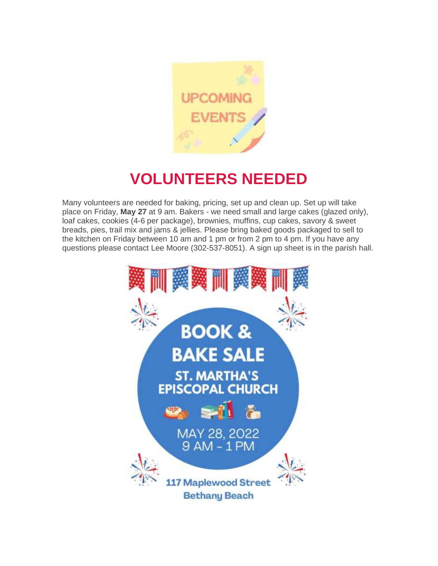

## **VOLUNTEERS NEEDED**

Many volunteers are needed for baking, pricing, set up and clean up. Set up will take place on Friday, **May 27** at 9 am. Bakers - we need small and large cakes (glazed only), loaf cakes, cookies (4-6 per package), brownies, muffins, cup cakes, savory & sweet breads, pies, trail mix and jams & jellies. Please bring baked goods packaged to sell to the kitchen on Friday between 10 am and 1 pm or from 2 pm to 4 pm. If you have any questions please contact Lee Moore (302-537-8051). A sign up sheet is in the parish hall.

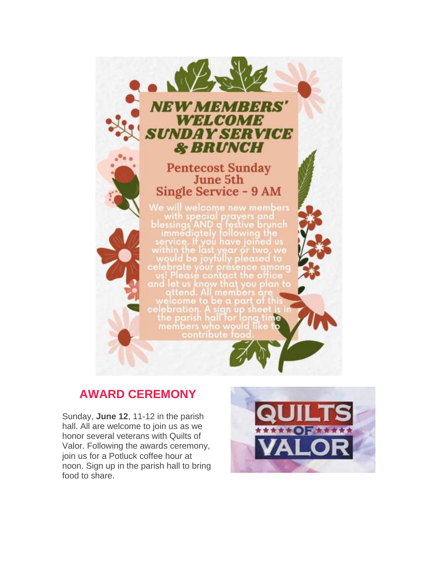

## **AWARD CEREMONY**

Sunday, **June 12**, 11-12 in the parish hall. All are welcome to join us as we honor several veterans with Quilts of Valor. Following the awards ceremony, join us for a Potluck coffee hour at noon. Sign up in the parish hall to bring food to share.

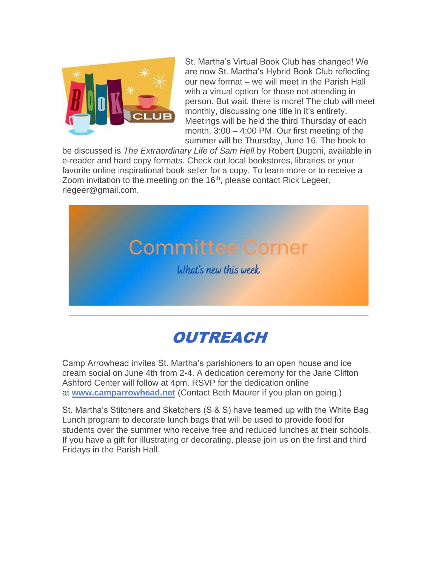

St. Martha's Virtual Book Club has changed! We are now St. Martha's Hybrid Book Club reflecting our new format – we will meet in the Parish Hall with a virtual option for those not attending in person. But wait, there is more! The club will meet monthly, discussing one title in it's entirety. Meetings will be held the third Thursday of each month, 3:00 – 4:00 PM. Our first meeting of the summer will be Thursday, June 16. The book to

be discussed is *The Extraordinary Life of Sam Hell* by Robert Dugoni, available in e-reader and hard copy formats. Check out local bookstores, libraries or your favorite online inspirational book seller for a copy. To learn more or to receive a Zoom invitation to the meeting on the 16<sup>th</sup>, please contact Rick Legeer, rlegeer@gmail.com.





Camp Arrowhead invites St. Martha's parishioners to an open house and ice cream social on June 4th from 2-4. A dedication ceremony for the Jane Clifton Ashford Center will follow at 4pm. RSVP for the dedication online at **[www.camparrowhead.net](http://www.camparrowhead.net/)** (Contact Beth Maurer if you plan on going.)

St. Martha's Stitchers and Sketchers (S & S) have teamed up with the White Bag Lunch program to decorate lunch bags that will be used to provide food for students over the summer who receive free and reduced lunches at their schools. If you have a gift for illustrating or decorating, please join us on the first and third Fridays in the Parish Hall.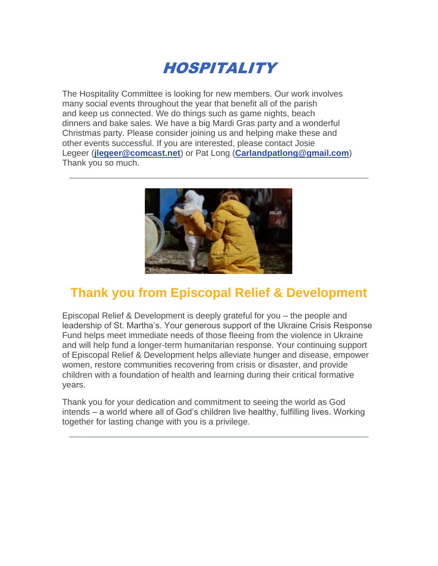

The Hospitality Committee is looking for new members. Our work involves many social events throughout the year that benefit all of the parish and keep us connected. We do things such as game nights, beach dinners and bake sales. We have a big Mardi Gras party and a wonderful Christmas party. Please consider joining us and helping make these and other events successful. If you are interested, please contact Josie Legeer (**[jlegeer@comcast.net](mailto:jlegeer@comcast.net)**) or Pat Long (**[Carlandpatlong@gmail.com](mailto:Carlandpatlong@gmail.com)**) Thank you so much.



## **Thank you from Episcopal Relief & Development**

Episcopal Relief & Development is deeply grateful for you – the people and leadership of St. Martha's. Your generous support of the Ukraine Crisis Response Fund helps meet immediate needs of those fleeing from the violence in Ukraine and will help fund a longer-term humanitarian response. Your continuing support of Episcopal Relief & Development helps alleviate hunger and disease, empower women, restore communities recovering from crisis or disaster, and provide children with a foundation of health and learning during their critical formative years.

Thank you for your dedication and commitment to seeing the world as God intends – a world where all of God's children live healthy, fulfilling lives. Working together for lasting change with you is a privilege.